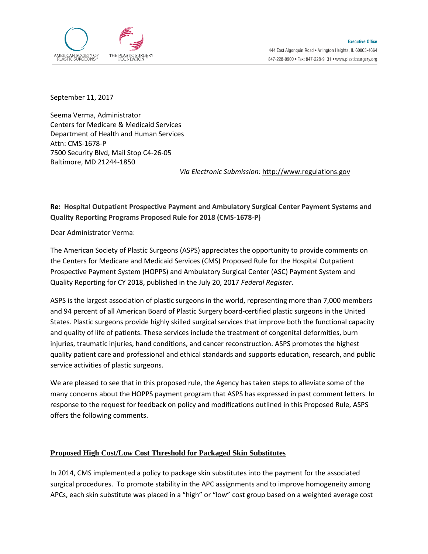

September 11, 2017

Seema Verma, Administrator Centers for Medicare & Medicaid Services Department of Health and Human Services Attn: CMS-1678-P 7500 Security Blvd, Mail Stop C4-26-05 Baltimore, MD 21244-1850

*Via Electronic Submission:* [http://www.regulations.gov](http://www.regulations.gov/)

## **Re: Hospital Outpatient Prospective Payment and Ambulatory Surgical Center Payment Systems and Quality Reporting Programs Proposed Rule for 2018 (CMS-1678-P)**

Dear Administrator Verma:

The American Society of Plastic Surgeons (ASPS) appreciates the opportunity to provide comments on the Centers for Medicare and Medicaid Services (CMS) Proposed Rule for the Hospital Outpatient Prospective Payment System (HOPPS) and Ambulatory Surgical Center (ASC) Payment System and Quality Reporting for CY 2018, published in the July 20, 2017 *Federal Register*.

ASPS is the largest association of plastic surgeons in the world, representing more than 7,000 members and 94 percent of all American Board of Plastic Surgery board-certified plastic surgeons in the United States. Plastic surgeons provide highly skilled surgical services that improve both the functional capacity and quality of life of patients. These services include the treatment of congenital deformities, burn injuries, traumatic injuries, hand conditions, and cancer reconstruction. ASPS promotes the highest quality patient care and professional and ethical standards and supports education, research, and public service activities of plastic surgeons.

We are pleased to see that in this proposed rule, the Agency has taken steps to alleviate some of the many concerns about the HOPPS payment program that ASPS has expressed in past comment letters. In response to the request for feedback on policy and modifications outlined in this Proposed Rule, ASPS offers the following comments.

## **Proposed High Cost/Low Cost Threshold for Packaged Skin Substitutes**

In 2014, CMS implemented a policy to package skin substitutes into the payment for the associated surgical procedures. To promote stability in the APC assignments and to improve homogeneity among APCs, each skin substitute was placed in a "high" or "low" cost group based on a weighted average cost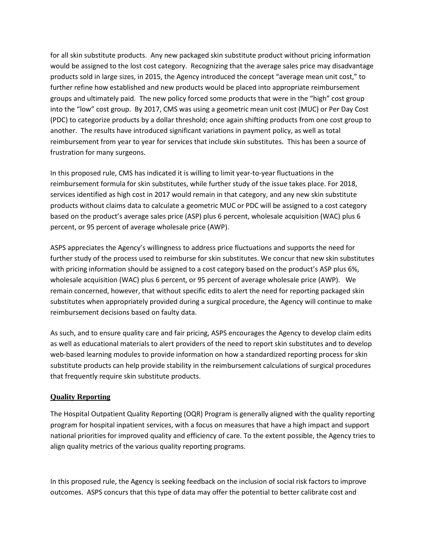for all skin substitute products. Any new packaged skin substitute product without pricing information would be assigned to the lost cost category. Recognizing that the average sales price may disadvantage products sold in large sizes, in 2015, the Agency introduced the concept "average mean unit cost," to further refine how established and new products would be placed into appropriate reimbursement groups and ultimately paid. The new policy forced some products that were in the "high" cost group into the "low" cost group. By 2017, CMS was using a geometric mean unit cost (MUC) or Per Day Cost (PDC) to categorize products by a dollar threshold; once again shifting products from one cost group to another. The results have introduced significant variations in payment policy, as well as total reimbursement from year to year for services that include skin substitutes. This has been a source of frustration for many surgeons.

In this proposed rule, CMS has indicated it is willing to limit year-to-year fluctuations in the reimbursement formula for skin substitutes, while further study of the issue takes place. For 2018, services identified as high cost in 2017 would remain in that category, and any new skin substitute products without claims data to calculate a geometric MUC or PDC will be assigned to a cost category based on the product's average sales price (ASP) plus 6 percent, wholesale acquisition (WAC) plus 6 percent, or 95 percent of average wholesale price (AWP).

ASPS appreciates the Agency's willingness to address price fluctuations and supports the need for further study of the process used to reimburse for skin substitutes. We concur that new skin substitutes with pricing information should be assigned to a cost category based on the product's ASP plus 6%, wholesale acquisition (WAC) plus 6 percent, or 95 percent of average wholesale price (AWP). We remain concerned, however, that without specific edits to alert the need for reporting packaged skin substitutes when appropriately provided during a surgical procedure, the Agency will continue to make reimbursement decisions based on faulty data.

As such, and to ensure quality care and fair pricing, ASPS encourages the Agency to develop claim edits as well as educational materials to alert providers of the need to report skin substitutes and to develop web-based learning modules to provide information on how a standardized reporting process for skin substitute products can help provide stability in the reimbursement calculations of surgical procedures that frequently require skin substitute products.

## **Quality Reporting**

The Hospital Outpatient Quality Reporting (OQR) Program is generally aligned with the quality reporting program for hospital inpatient services, with a focus on measures that have a high impact and support national priorities for improved quality and efficiency of care. To the extent possible, the Agency tries to align quality metrics of the various quality reporting programs.

In this proposed rule, the Agency is seeking feedback on the inclusion of social risk factors to improve outcomes. ASPS concurs that this type of data may offer the potential to better calibrate cost and